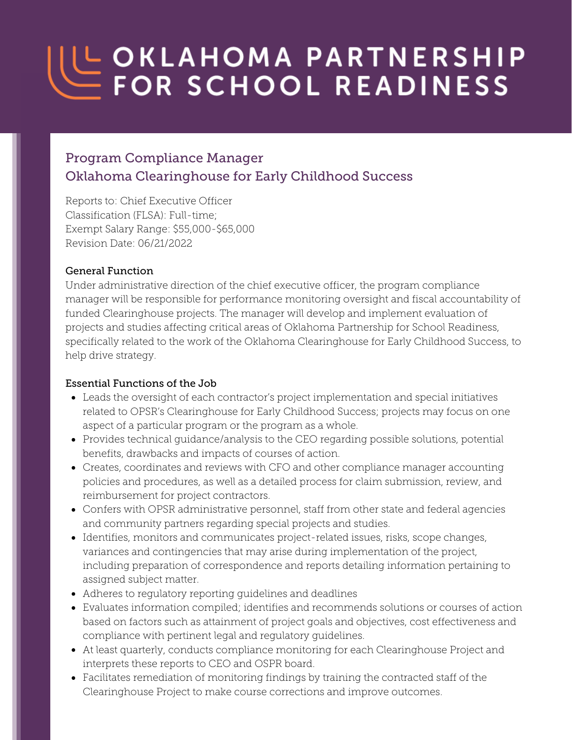# UL OKLAHOMA PARTNERSHIP

# Program Compliance Manager Oklahoma Clearinghouse for Early Childhood Success

Reports to: Chief Executive Officer Classification (FLSA): Full-time; Exempt Salary Range: \$55,000-\$65,000 Revision Date: 06/21/2022

#### General Function

Under administrative direction of the chief executive officer, the program compliance manager will be responsible for performance monitoring oversight and fiscal accountability of funded Clearinghouse projects. The manager will develop and implement evaluation of projects and studies affecting critical areas of Oklahoma Partnership for School Readiness, specifically related to the work of the Oklahoma Clearinghouse for Early Childhood Success, to help drive strategy.

#### Essential Functions of the Job

- Leads the oversight of each contractor's project implementation and special initiatives related to OPSR's Clearinghouse for Early Childhood Success; projects may focus on one aspect of a particular program or the program as a whole.
- Provides technical guidance/analysis to the CEO regarding possible solutions, potential benefits, drawbacks and impacts of courses of action.
- Creates, coordinates and reviews with CFO and other compliance manager accounting policies and procedures, as well as a detailed process for claim submission, review, and reimbursement for project contractors.
- Confers with OPSR administrative personnel, staff from other state and federal agencies and community partners regarding special projects and studies.
- Identifies, monitors and communicates project-related issues, risks, scope changes, variances and contingencies that may arise during implementation of the project, including preparation of correspondence and reports detailing information pertaining to assigned subject matter.
- Adheres to regulatory reporting guidelines and deadlines
- Evaluates information compiled; identifies and recommends solutions or courses of action based on factors such as attainment of project goals and objectives, cost effectiveness and compliance with pertinent legal and regulatory guidelines.
- At least quarterly, conducts compliance monitoring for each Clearinghouse Project and interprets these reports to CEO and OSPR board.
- Facilitates remediation of monitoring findings by training the contracted staff of the Clearinghouse Project to make course corrections and improve outcomes.